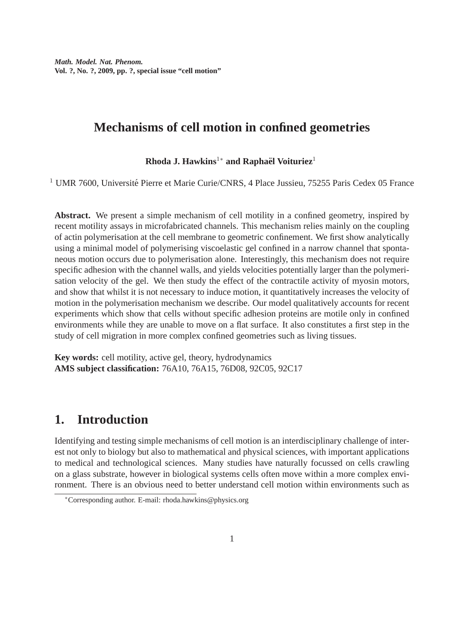# **Mechanisms of cell motion in confined geometries**

### **Rhoda J. Hawkins<sup>1∗</sup> and Raphaël Voituriez<sup>1</sup>**

<sup>1</sup> UMR 7600, Université Pierre et Marie Curie/CNRS, 4 Place Jussieu, 75255 Paris Cedex 05 France

**Abstract.** We present a simple mechanism of cell motility in a confined geometry, inspired by recent motility assays in microfabricated channels. This mechanism relies mainly on the coupling of actin polymerisation at the cell membrane to geometric confinement. We first show analytically using a minimal model of polymerising viscoelastic gel confined in a narrow channel that spontaneous motion occurs due to polymerisation alone. Interestingly, this mechanism does not require specific adhesion with the channel walls, and yields velocities potentially larger than the polymerisation velocity of the gel. We then study the effect of the contractile activity of myosin motors, and show that whilst it is not necessary to induce motion, it quantitatively increases the velocity of motion in the polymerisation mechanism we describe. Our model qualitatively accounts for recent experiments which show that cells without specific adhesion proteins are motile only in confined environments while they are unable to move on a flat surface. It also constitutes a first step in the study of cell migration in more complex confined geometries such as living tissues.

**Key words:** cell motility, active gel, theory, hydrodynamics **AMS subject classification:** 76A10, 76A15, 76D08, 92C05, 92C17

## **1. Introduction**

Identifying and testing simple mechanisms of cell motion is an interdisciplinary challenge of interest not only to biology but also to mathematical and physical sciences, with important applications to medical and technological sciences. Many studies have naturally focussed on cells crawling on a glass substrate, however in biological systems cells often move within a more complex environment. There is an obvious need to better understand cell motion within environments such as

<sup>∗</sup>Corresponding author. E-mail: rhoda.hawkins@physics.org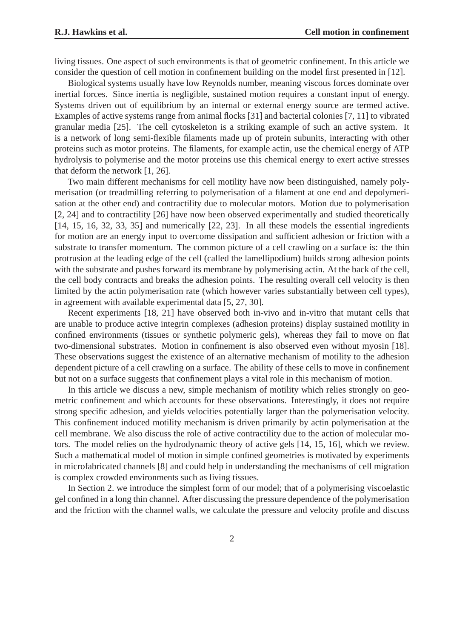living tissues. One aspect of such environments is that of geometric confinement. In this article we consider the question of cell motion in confinement building on the model first presented in [12].

Biological systems usually have low Reynolds number, meaning viscous forces dominate over inertial forces. Since inertia is negligible, sustained motion requires a constant input of energy. Systems driven out of equilibrium by an internal or external energy source are termed active. Examples of active systems range from animal flocks [31] and bacterial colonies [7, 11] to vibrated granular media [25]. The cell cytoskeleton is a striking example of such an active system. It is a network of long semi-flexible filaments made up of protein subunits, interacting with other proteins such as motor proteins. The filaments, for example actin, use the chemical energy of ATP hydrolysis to polymerise and the motor proteins use this chemical energy to exert active stresses that deform the network [1, 26].

Two main different mechanisms for cell motility have now been distinguished, namely polymerisation (or treadmilling referring to polymerisation of a filament at one end and depolymerisation at the other end) and contractility due to molecular motors. Motion due to polymerisation [2, 24] and to contractility [26] have now been observed experimentally and studied theoretically [14, 15, 16, 32, 33, 35] and numerically [22, 23]. In all these models the essential ingredients for motion are an energy input to overcome dissipation and sufficient adhesion or friction with a substrate to transfer momentum. The common picture of a cell crawling on a surface is: the thin protrusion at the leading edge of the cell (called the lamellipodium) builds strong adhesion points with the substrate and pushes forward its membrane by polymerising actin. At the back of the cell, the cell body contracts and breaks the adhesion points. The resulting overall cell velocity is then limited by the actin polymerisation rate (which however varies substantially between cell types), in agreement with available experimental data [5, 27, 30].

Recent experiments [18, 21] have observed both in-vivo and in-vitro that mutant cells that are unable to produce active integrin complexes (adhesion proteins) display sustained motility in confined environments (tissues or synthetic polymeric gels), whereas they fail to move on flat two-dimensional substrates. Motion in confinement is also observed even without myosin [18]. These observations suggest the existence of an alternative mechanism of motility to the adhesion dependent picture of a cell crawling on a surface. The ability of these cells to move in confinement but not on a surface suggests that confinement plays a vital role in this mechanism of motion.

In this article we discuss a new, simple mechanism of motility which relies strongly on geometric confinement and which accounts for these observations. Interestingly, it does not require strong specific adhesion, and yields velocities potentially larger than the polymerisation velocity. This confinement induced motility mechanism is driven primarily by actin polymerisation at the cell membrane. We also discuss the role of active contractility due to the action of molecular motors. The model relies on the hydrodynamic theory of active gels [14, 15, 16], which we review. Such a mathematical model of motion in simple confined geometries is motivated by experiments in microfabricated channels [8] and could help in understanding the mechanisms of cell migration is complex crowded environments such as living tissues.

In Section 2. we introduce the simplest form of our model; that of a polymerising viscoelastic gel confined in a long thin channel. After discussing the pressure dependence of the polymerisation and the friction with the channel walls, we calculate the pressure and velocity profile and discuss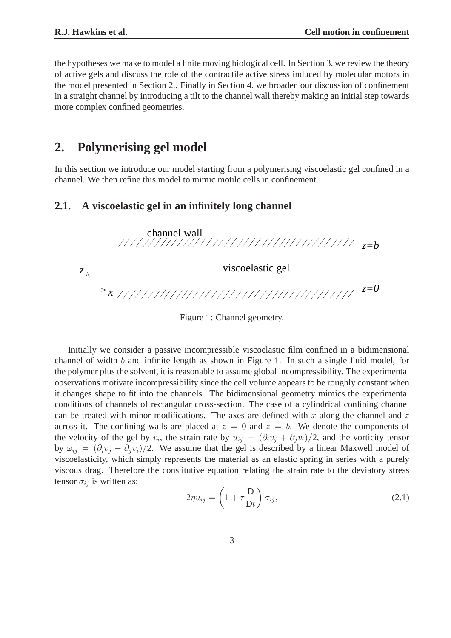the hypotheses we make to model a finite moving biological cell. In Section 3. we review the theory of active gels and discuss the role of the contractile active stress induced by molecular motors in the model presented in Section 2.. Finally in Section 4. we broaden our discussion of confinement in a straight channel by introducing a tilt to the channel wall thereby making an initial step towards more complex confined geometries.

### **2. Polymerising gel model**

In this section we introduce our model starting from a polymerising viscoelastic gel confined in a channel. We then refine this model to mimic motile cells in confinement.

### **2.1. A viscoelastic gel in an infinitely long channel**



Figure 1: Channel geometry.

Initially we consider a passive incompressible viscoelastic film confined in a bidimensional channel of width b and infinite length as shown in Figure 1. In such a single fluid model, for the polymer plus the solvent, it is reasonable to assume global incompressibility. The experimental observations motivate incompressibility since the cell volume appears to be roughly constant when it changes shape to fit into the channels. The bidimensional geometry mimics the experimental conditions of channels of rectangular cross-section. The case of a cylindrical confining channel can be treated with minor modifications. The axes are defined with x along the channel and z across it. The confining walls are placed at  $z = 0$  and  $z = b$ . We denote the components of the velocity of the gel by  $v_i$ , the strain rate by  $u_{ij} = (\partial_i v_j + \partial_j v_i)/2$ , and the vorticity tensor by  $\omega_{ij} = (\partial_i v_i - \partial_j v_i)/2$ . We assume that the gel is described by a linear Maxwell model of viscoelasticity, which simply represents the material as an elastic spring in series with a purely viscous drag. Therefore the constitutive equation relating the strain rate to the deviatory stress tensor  $\sigma_{ij}$  is written as:

$$
2\eta u_{ij} = \left(1 + \tau \frac{\mathbf{D}}{\mathbf{D}t}\right) \sigma_{ij},\tag{2.1}
$$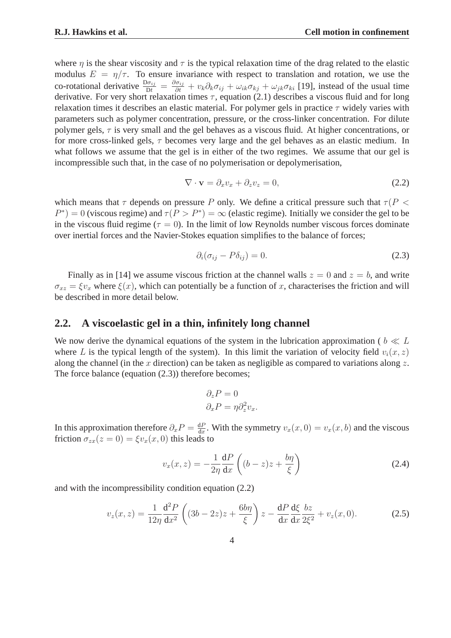where  $\eta$  is the shear viscosity and  $\tau$  is the typical relaxation time of the drag related to the elastic modulus  $E = \eta/\tau$ . To ensure invariance with respect to translation and rotation, we use the co-rotational derivative  $\frac{D\sigma_{ij}}{Dt} = \frac{\partial \sigma_{ij}}{\partial t} + v_k \partial_k \sigma_{ij} + \omega_{ik} \sigma_{kj} + \omega_{jk} \sigma_{ki}$  [19], instead of the usual time derivative. For very short relaxation times  $\tau$ , equation (2.1) describes a viscous fluid and for long relaxation times it describes an elastic material. For polymer gels in practice  $\tau$  widely varies with parameters such as polymer concentration, pressure, or the cross-linker concentration. For dilute polymer gels,  $\tau$  is very small and the gel behaves as a viscous fluid. At higher concentrations, or for more cross-linked gels,  $\tau$  becomes very large and the gel behaves as an elastic medium. In what follows we assume that the gel is in either of the two regimes. We assume that our gel is incompressible such that, in the case of no polymerisation or depolymerisation,

$$
\nabla \cdot \mathbf{v} = \partial_x v_x + \partial_z v_z = 0, \tag{2.2}
$$

which means that  $\tau$  depends on pressure P only. We define a critical pressure such that  $\tau$  (P <  $P^*$ ) = 0 (viscous regime) and  $\tau(P > P^*) = \infty$  (elastic regime). Initially we consider the gel to be in the viscous fluid regime ( $\tau = 0$ ). In the limit of low Reynolds number viscous forces dominate over inertial forces and the Navier-Stokes equation simplifies to the balance of forces;

$$
\partial_i(\sigma_{ij} - P\delta_{ij}) = 0. \tag{2.3}
$$

Finally as in [14] we assume viscous friction at the channel walls  $z = 0$  and  $z = b$ , and write  $\sigma_{xz} = \xi v_x$  where  $\xi(x)$ , which can potentially be a function of x, characterises the friction and will be described in more detail below.

### **2.2. A viscoelastic gel in a thin, infinitely long channel**

We now derive the dynamical equations of the system in the lubrication approximation (  $b \ll L$ where L is the typical length of the system). In this limit the variation of velocity field  $v_i(x, z)$ along the channel (in the x direction) can be taken as negligible as compared to variations along z. The force balance (equation (2.3)) therefore becomes;

$$
\partial_z P = 0
$$
  

$$
\partial_x P = \eta \partial_z^2 v_x.
$$

In this approximation therefore  $\partial_x P = \frac{dP}{dx}$  $\frac{dP}{dx}$ . With the symmetry  $v_x(x, 0) = v_x(x, b)$  and the viscous friction  $\sigma_{zx}(z=0) = \xi v_x(x,0)$  this leads to

$$
v_x(x,z) = -\frac{1}{2\eta} \frac{dP}{dx} \left( (b-z)z + \frac{b\eta}{\xi} \right)
$$
 (2.4)

and with the incompressibility condition equation (2.2)

$$
v_z(x,z) = \frac{1}{12\eta} \frac{d^2 P}{dx^2} \left( (3b - 2z)z + \frac{6b\eta}{\xi} \right) z - \frac{dP}{dx} \frac{d\xi}{dx} \frac{dz}{2\xi^2} + v_z(x,0).
$$
 (2.5)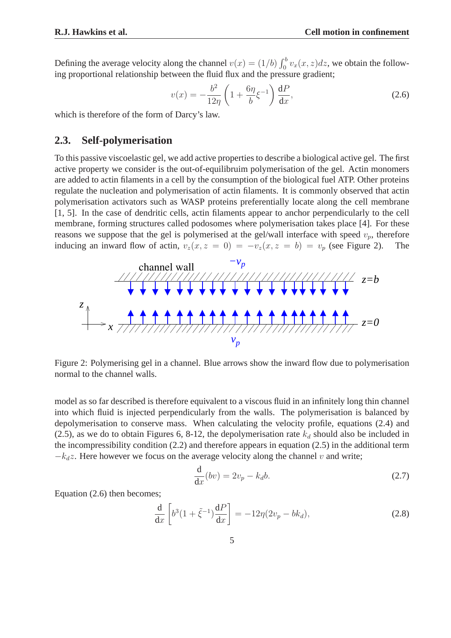Defining the average velocity along the channel  $v(x) = (1/b) \int_0^b v_x(x, z) dz$ , we obtain the following proportional relationship between the fluid flux and the pressure gradient;

$$
v(x) = -\frac{b^2}{12\eta} \left( 1 + \frac{6\eta}{b} \xi^{-1} \right) \frac{dP}{dx},
$$
\n(2.6)

which is therefore of the form of Darcy's law.

### **2.3. Self-polymerisation**

To this passive viscoelastic gel, we add active properties to describe a biological active gel. The first active property we consider is the out-of-equilibruim polymerisation of the gel. Actin monomers are added to actin filaments in a cell by the consumption of the biological fuel ATP. Other proteins regulate the nucleation and polymerisation of actin filaments. It is commonly observed that actin polymerisation activators such as WASP proteins preferentially locate along the cell membrane [1, 5]. In the case of dendritic cells, actin filaments appear to anchor perpendicularly to the cell membrane, forming structures called podosomes where polymerisation takes place [4]. For these reasons we suppose that the gel is polymerised at the gel/wall interface with speed  $v_p$ , therefore inducing an inward flow of actin,  $v_z(x, z = 0) = -v_z(x, z = b) = v_p$  (see Figure 2). The



Figure 2: Polymerising gel in a channel. Blue arrows show the inward flow due to polymerisation normal to the channel walls.

model as so far described is therefore equivalent to a viscous fluid in an infinitely long thin channel into which fluid is injected perpendicularly from the walls. The polymerisation is balanced by depolymerisation to conserve mass. When calculating the velocity profile, equations (2.4) and (2.5), as we do to obtain Figures 6, 8-12, the depolymerisation rate  $k_d$  should also be included in the incompressibility condition (2.2) and therefore appears in equation (2.5) in the additional term  $-k_dz$ . Here however we focus on the average velocity along the channel v and write;

$$
\frac{\mathrm{d}}{\mathrm{d}x}(bv) = 2v_p - k_d b. \tag{2.7}
$$

Equation (2.6) then becomes;

$$
\frac{\mathrm{d}}{\mathrm{d}x} \left[ b^3 (1 + \tilde{\xi}^{-1}) \frac{\mathrm{d}P}{\mathrm{d}x} \right] = -12\eta (2v_p - bk_d),\tag{2.8}
$$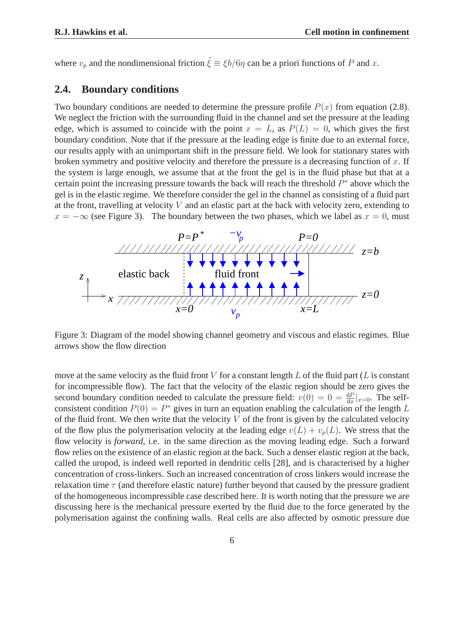where  $v_p$  and the nondimensional friction  $\tilde{\xi} \equiv \xi b/6\eta$  can be a priori functions of P and x.

### **2.4. Boundary conditions**

Two boundary conditions are needed to determine the pressure profile  $P(x)$  from equation (2.8). We neglect the friction with the surrounding fluid in the channel and set the pressure at the leading edge, which is assumed to coincide with the point  $x = L$ , as  $P(L) = 0$ , which gives the first boundary condition. Note that if the pressure at the leading edge is finite due to an external force, our results apply with an unimportant shift in the pressure field. We look for stationary states with broken symmetry and positive velocity and therefore the pressure is a decreasing function of  $x$ . If the system is large enough, we assume that at the front the gel is in the fluid phase but that at a certain point the increasing pressure towards the back will reach the threshold  $P^*$  above which the gel is in the elastic regime. We therefore consider the gel in the channel as consisting of a fluid part at the front, travelling at velocity  $V$  and an elastic part at the back with velocity zero, extending to  $x = -\infty$  (see Figure 3). The boundary between the two phases, which we label as  $x = 0$ , must



Figure 3: Diagram of the model showing channel geometry and viscous and elastic regimes. Blue arrows show the flow direction

move at the same velocity as the fluid front  $V$  for a constant length  $L$  of the fluid part ( $L$  is constant for incompressible flow). The fact that the velocity of the elastic region should be zero gives the second boundary condition needed to calculate the pressure field:  $v(0) = 0 = \frac{dP}{dx}|_{x=0}$ . The selfconsistent condition  $P(0) = P^*$  gives in turn an equation enabling the calculation of the length L of the fluid front. We then write that the velocity  $V$  of the front is given by the calculated velocity of the flow plus the polymerisation velocity at the leading edge  $v(L) + v_p(L)$ . We stress that the flow velocity is *forward*, i.e. in the same direction as the moving leading edge. Such a forward flow relies on the existence of an elastic region at the back. Such a denser elastic region at the back, called the uropod, is indeed well reported in dendritic cells [28], and is characterised by a higher concentration of cross-linkers. Such an increased concentration of cross linkers would increase the relaxation time  $\tau$  (and therefore elastic nature) further beyond that caused by the pressure gradient of the homogeneous incompressible case described here. It is worth noting that the pressure we are discussing here is the mechanical pressure exerted by the fluid due to the force generated by the polymerisation against the confining walls. Real cells are also affected by osmotic pressure due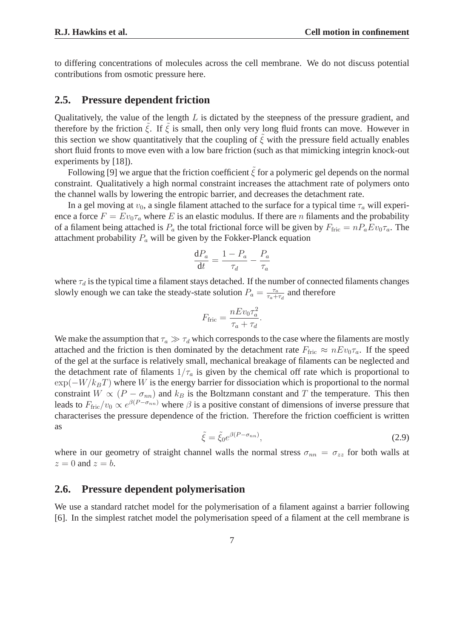to differing concentrations of molecules across the cell membrane. We do not discuss potential contributions from osmotic pressure here.

### **2.5. Pressure dependent friction**

Qualitatively, the value of the length  $L$  is dictated by the steepness of the pressure gradient, and therefore by the friction  $\hat{\xi}$ . If  $\hat{\xi}$  is small, then only very long fluid fronts can move. However in this section we show quantitatively that the coupling of  $\tilde{\xi}$  with the pressure field actually enables short fluid fronts to move even with a low bare friction (such as that mimicking integrin knock-out experiments by [18]).

Following [9] we argue that the friction coefficient  $\tilde{\xi}$  for a polymeric gel depends on the normal constraint. Qualitatively a high normal constraint increases the attachment rate of polymers onto the channel walls by lowering the entropic barrier, and decreases the detachment rate.

In a gel moving at  $v_0$ , a single filament attached to the surface for a typical time  $\tau_a$  will experience a force  $F = Ev_0 \tau_a$  where E is an elastic modulus. If there are n filaments and the probability of a filament being attached is  $P_a$  the total frictional force will be given by  $F_{\text{fric}} = n P_a E v_0 \tau_a$ . The attachment probability  $P_a$  will be given by the Fokker-Planck equation

$$
\frac{\mathrm{d}P_a}{\mathrm{d}t} = \frac{1 - P_a}{\tau_d} - \frac{P_a}{\tau_a}
$$

where  $\tau_d$  is the typical time a filament stays detached. If the number of connected filaments changes slowly enough we can take the steady-state solution  $P_a = \frac{\tau_a}{\tau_a + \tau_a}$  $\frac{\tau_a}{\tau_a+\tau_d}$  and therefore

$$
F_{\rm fric} = \frac{nEv_0\tau_a^2}{\tau_a + \tau_d}.
$$

We make the assumption that  $\tau_a \gg \tau_d$  which corresponds to the case where the filaments are mostly attached and the friction is then dominated by the detachment rate  $F_{\text{fric}} \approx nEv_0\tau_a$ . If the speed of the gel at the surface is relatively small, mechanical breakage of filaments can be neglected and the detachment rate of filaments  $1/\tau_a$  is given by the chemical off rate which is proportional to  $\exp(-W/k_BT)$  where W is the energy barrier for dissociation which is proportional to the normal constraint  $W \propto (P - \sigma_{nn})$  and  $k_B$  is the Boltzmann constant and T the temperature. This then leads to  $F_{\text{fric}}/v_0 \propto e^{\beta(P-\sigma_{nn})}$  where  $\beta$  is a positive constant of dimensions of inverse pressure that characterises the pressure dependence of the friction. Therefore the friction coefficient is written as

$$
\tilde{\xi} = \tilde{\xi}_0 e^{\beta(P - \sigma_{nn})},\tag{2.9}
$$

where in our geometry of straight channel walls the normal stress  $\sigma_{nn} = \sigma_{zz}$  for both walls at  $z = 0$  and  $z = b$ .

### **2.6. Pressure dependent polymerisation**

We use a standard ratchet model for the polymerisation of a filament against a barrier following [6]. In the simplest ratchet model the polymerisation speed of a filament at the cell membrane is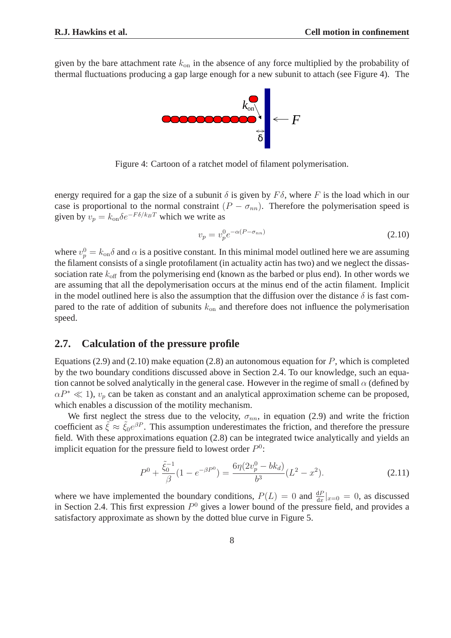given by the bare attachment rate  $k_{on}$  in the absence of any force multiplied by the probability of thermal fluctuations producing a gap large enough for a new subunit to attach (see Figure 4). The



Figure 4: Cartoon of a ratchet model of filament polymerisation.

energy required for a gap the size of a subunit  $\delta$  is given by  $F\delta$ , where F is the load which in our case is proportional to the normal constraint  $(P - \sigma_{nn})$ . Therefore the polymerisation speed is given by  $v_p = k_{on} \delta e^{-F \delta / k_B T}$  which we write as

$$
v_p = v_p^0 e^{-\alpha (P - \sigma_{nn})}
$$
\n(2.10)

where  $v_p^0 = k_{\rm on} \delta$  and  $\alpha$  is a positive constant. In this minimal model outlined here we are assuming the filament consists of a single protofilament (in actuality actin has two) and we neglect the dissassociation rate  $k_{\text{off}}$  from the polymerising end (known as the barbed or plus end). In other words we are assuming that all the depolymerisation occurs at the minus end of the actin filament. Implicit in the model outlined here is also the assumption that the diffusion over the distance  $\delta$  is fast compared to the rate of addition of subunits  $k_{on}$  and therefore does not influence the polymerisation speed.

### **2.7. Calculation of the pressure profile**

Equations (2.9) and (2.10) make equation (2.8) an autonomous equation for  $P$ , which is completed by the two boundary conditions discussed above in Section 2.4. To our knowledge, such an equation cannot be solved analytically in the general case. However in the regime of small  $\alpha$  (defined by  $\alpha P^* \ll 1$ ,  $v_p$  can be taken as constant and an analytical approximation scheme can be proposed, which enables a discussion of the motility mechanism.

We first neglect the stress due to the velocity,  $\sigma_{nn}$ , in equation (2.9) and write the friction coefficient as  $\tilde{\xi} \approx \tilde{\xi}_0 e^{\beta P}$ . This assumption underestimates the friction, and therefore the pressure field. With these approximations equation (2.8) can be integrated twice analytically and yields an implicit equation for the pressure field to lowest order  $P^0$ :

$$
P^{0} + \frac{\tilde{\xi}_{0}^{-1}}{\beta} (1 - e^{-\beta P^{0}}) = \frac{6\eta (2v_{p}^{0} - bk_{d})}{b^{3}} (L^{2} - x^{2}).
$$
\n(2.11)

where we have implemented the boundary conditions,  $P(L) = 0$  and  $\frac{dP}{dx}|_{x=0} = 0$ , as discussed in Section 2.4. This first expression  $P^0$  gives a lower bound of the pressure field, and provides a satisfactory approximate as shown by the dotted blue curve in Figure 5.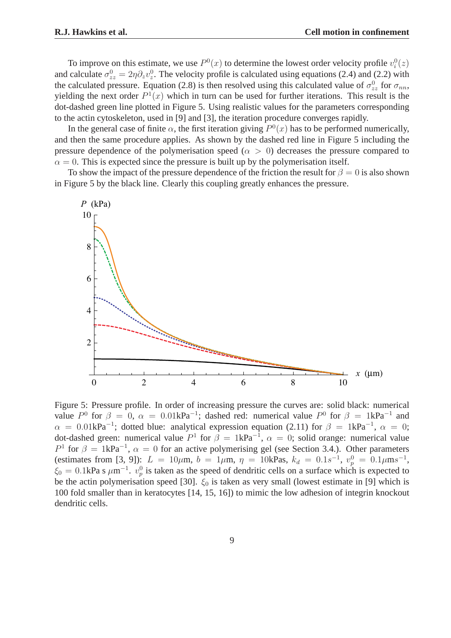To improve on this estimate, we use  $P^0(x)$  to determine the lowest order velocity profile  $v_i^0(z)$ and calculate  $\sigma_{zz}^0 = 2\eta \partial_z v_z^0$ . The velocity profile is calculated using equations (2.4) and (2.2) with the calculated pressure. Equation (2.8) is then resolved using this calculated value of  $\sigma_{zz}^0$  for  $\sigma_{nn}$ , yielding the next order  $P^1(x)$  which in turn can be used for further iterations. This result is the dot-dashed green line plotted in Figure 5. Using realistic values for the parameters corresponding to the actin cytoskeleton, used in [9] and [3], the iteration procedure converges rapidly.

In the general case of finite  $\alpha$ , the first iteration giving  $P^0(x)$  has to be performed numerically, and then the same procedure applies. As shown by the dashed red line in Figure 5 including the pressure dependence of the polymerisation speed ( $\alpha > 0$ ) decreases the pressure compared to  $\alpha = 0$ . This is expected since the pressure is built up by the polymerisation itself.

To show the impact of the pressure dependence of the friction the result for  $\beta = 0$  is also shown in Figure 5 by the black line. Clearly this coupling greatly enhances the pressure.



Figure 5: Pressure profile. In order of increasing pressure the curves are: solid black: numerical value  $P^0$  for  $\beta = 0$ ,  $\alpha = 0.01$ k $Pa^{-1}$ ; dashed red: numerical value  $P^0$  for  $\beta = 1$ k $Pa^{-1}$  and  $\alpha = 0.01 \text{kPa}^{-1}$ ; dotted blue: analytical expression equation (2.11) for  $\beta = 1 \text{kPa}^{-1}$ ,  $\alpha = 0$ ; dot-dashed green: numerical value  $P^1$  for  $\beta = 1 \text{kPa}^{-1}$ ,  $\alpha = 0$ ; solid orange: numerical value  $P^1$  for  $\beta = 1 \text{kPa}^{-1}$ ,  $\alpha = 0$  for an active polymerising gel (see Section 3.4.). Other parameters (estimates from [3, 9]):  $L = 10 \mu \text{m}$ ,  $b = 1 \mu \text{m}$ ,  $\eta = 10 \text{kPa}$ s,  $k_d = 0.1 s^{-1}$ ,  $v_p^0 = 0.1 \mu \text{m} s^{-1}$ ,  $\xi_0 = 0.1$ kPa s  $\mu$ m<sup>-1</sup>.  $v_p^0$  is taken as the speed of dendritic cells on a surface which is expected to be the actin polymerisation speed [30].  $\xi_0$  is taken as very small (lowest estimate in [9] which is 100 fold smaller than in keratocytes [14, 15, 16]) to mimic the low adhesion of integrin knockout dendritic cells.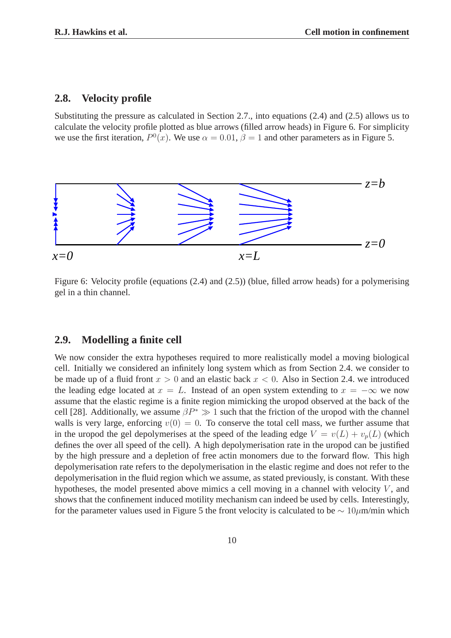### **2.8. Velocity profile**

Substituting the pressure as calculated in Section 2.7., into equations (2.4) and (2.5) allows us to calculate the velocity profile plotted as blue arrows (filled arrow heads) in Figure 6. For simplicity we use the first iteration,  $P^0(x)$ . We use  $\alpha = 0.01$ ,  $\beta = 1$  and other parameters as in Figure 5.



Figure 6: Velocity profile (equations (2.4) and (2.5)) (blue, filled arrow heads) for a polymerising gel in a thin channel.

### **2.9. Modelling a finite cell**

We now consider the extra hypotheses required to more realistically model a moving biological cell. Initially we considered an infinitely long system which as from Section 2.4. we consider to be made up of a fluid front  $x > 0$  and an elastic back  $x < 0$ . Also in Section 2.4. we introduced the leading edge located at  $x = L$ . Instead of an open system extending to  $x = -\infty$  we now assume that the elastic regime is a finite region mimicking the uropod observed at the back of the cell [28]. Additionally, we assume  $\beta P^* \gg 1$  such that the friction of the uropod with the channel walls is very large, enforcing  $v(0) = 0$ . To conserve the total cell mass, we further assume that in the uropod the gel depolymerises at the speed of the leading edge  $V = v(L) + v_p(L)$  (which defines the over all speed of the cell). A high depolymerisation rate in the uropod can be justified by the high pressure and a depletion of free actin monomers due to the forward flow. This high depolymerisation rate refers to the depolymerisation in the elastic regime and does not refer to the depolymerisation in the fluid region which we assume, as stated previously, is constant. With these hypotheses, the model presented above mimics a cell moving in a channel with velocity  $V$ , and shows that the confinement induced motility mechanism can indeed be used by cells. Interestingly, for the parameter values used in Figure 5 the front velocity is calculated to be  $\sim 10 \mu$ m/min which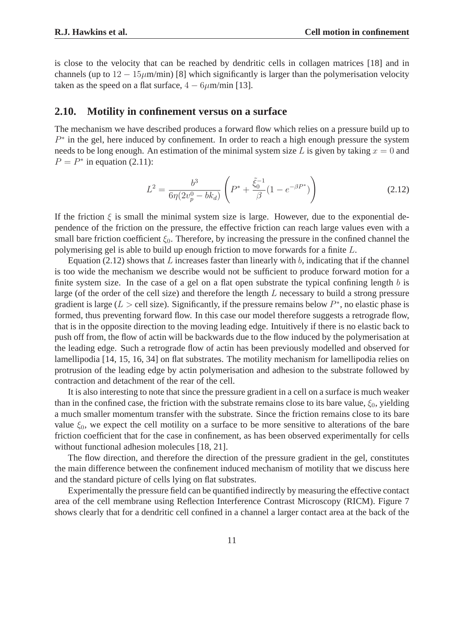is close to the velocity that can be reached by dendritic cells in collagen matrices [18] and in channels (up to  $12 - 15\mu$ m/min) [8] which significantly is larger than the polymerisation velocity taken as the speed on a flat surface,  $4 - 6\mu$ m/min [13].

### **2.10. Motility in confinement versus on a surface**

The mechanism we have described produces a forward flow which relies on a pressure build up to  $P^*$  in the gel, here induced by confinement. In order to reach a high enough pressure the system needs to be long enough. An estimation of the minimal system size L is given by taking  $x = 0$  and  $P = P^*$  in equation (2.11):

$$
L^{2} = \frac{b^{3}}{6\eta(2v_{p}^{0} - bk_{d})} \left( P^{*} + \frac{\tilde{\xi}_{0}^{-1}}{\beta} (1 - e^{-\beta P^{*}}) \right)
$$
 (2.12)

If the friction  $\xi$  is small the minimal system size is large. However, due to the exponential dependence of the friction on the pressure, the effective friction can reach large values even with a small bare friction coefficient  $\xi_0$ . Therefore, by increasing the pressure in the confined channel the polymerising gel is able to build up enough friction to move forwards for a finite L.

Equation (2.12) shows that  $L$  increases faster than linearly with  $b$ , indicating that if the channel is too wide the mechanism we describe would not be sufficient to produce forward motion for a finite system size. In the case of a gel on a flat open substrate the typical confining length  $b$  is large (of the order of the cell size) and therefore the length L necessary to build a strong pressure gradient is large ( $L >$  cell size). Significantly, if the pressure remains below  $P^*$ , no elastic phase is formed, thus preventing forward flow. In this case our model therefore suggests a retrograde flow, that is in the opposite direction to the moving leading edge. Intuitively if there is no elastic back to push off from, the flow of actin will be backwards due to the flow induced by the polymerisation at the leading edge. Such a retrograde flow of actin has been previously modelled and observed for lamellipodia [14, 15, 16, 34] on flat substrates. The motility mechanism for lamellipodia relies on protrusion of the leading edge by actin polymerisation and adhesion to the substrate followed by contraction and detachment of the rear of the cell.

It is also interesting to note that since the pressure gradient in a cell on a surface is much weaker than in the confined case, the friction with the substrate remains close to its bare value,  $\xi_0$ , yielding a much smaller momentum transfer with the substrate. Since the friction remains close to its bare value  $\xi_0$ , we expect the cell motility on a surface to be more sensitive to alterations of the bare friction coefficient that for the case in confinement, as has been observed experimentally for cells without functional adhesion molecules [18, 21].

The flow direction, and therefore the direction of the pressure gradient in the gel, constitutes the main difference between the confinement induced mechanism of motility that we discuss here and the standard picture of cells lying on flat substrates.

Experimentally the pressure field can be quantified indirectly by measuring the effective contact area of the cell membrane using Reflection Interference Contrast Microscopy (RICM). Figure 7 shows clearly that for a dendritic cell confined in a channel a larger contact area at the back of the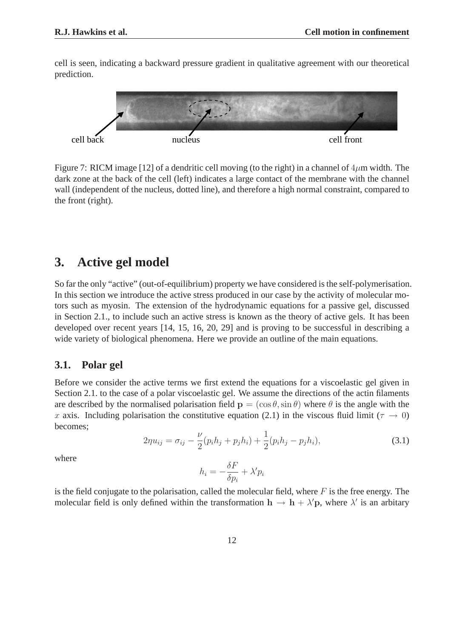cell is seen, indicating a backward pressure gradient in qualitative agreement with our theoretical prediction.



Figure 7: RICM image [12] of a dendritic cell moving (to the right) in a channel of  $4\mu$ m width. The dark zone at the back of the cell (left) indicates a large contact of the membrane with the channel wall (independent of the nucleus, dotted line), and therefore a high normal constraint, compared to the front (right).

# **3. Active gel model**

So far the only "active" (out-of-equilibrium) property we have considered is the self-polymerisation. In this section we introduce the active stress produced in our case by the activity of molecular motors such as myosin. The extension of the hydrodynamic equations for a passive gel, discussed in Section 2.1., to include such an active stress is known as the theory of active gels. It has been developed over recent years [14, 15, 16, 20, 29] and is proving to be successful in describing a wide variety of biological phenomena. Here we provide an outline of the main equations.

### **3.1. Polar gel**

Before we consider the active terms we first extend the equations for a viscoelastic gel given in Section 2.1. to the case of a polar viscoelastic gel. We assume the directions of the actin filaments are described by the normalised polarisation field  $\mathbf{p} = (\cos \theta, \sin \theta)$  where  $\theta$  is the angle with the x axis. Including polarisation the constitutive equation (2.1) in the viscous fluid limit ( $\tau \to 0$ ) becomes;

$$
2\eta u_{ij} = \sigma_{ij} - \frac{\nu}{2}(p_i h_j + p_j h_i) + \frac{1}{2}(p_i h_j - p_j h_i),
$$
\n(3.1)

where

$$
h_i = -\frac{\delta F}{\delta p_i} + \lambda' p_i
$$

is the field conjugate to the polarisation, called the molecular field, where  $F$  is the free energy. The molecular field is only defined within the transformation  $h \to h + \lambda' p$ , where  $\lambda'$  is an arbitary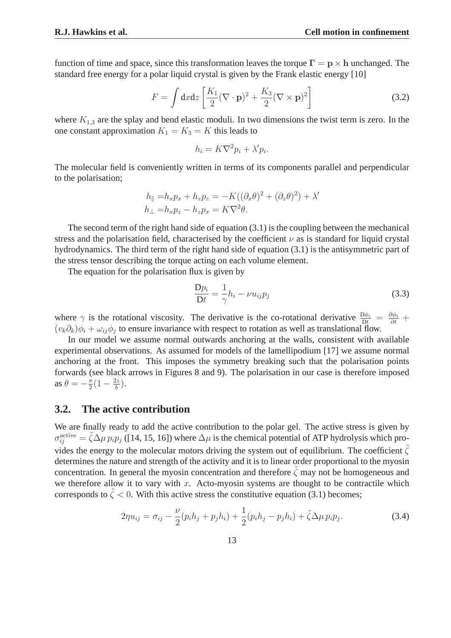function of time and space, since this transformation leaves the torque  $\Gamma = p \times h$  unchanged. The standard free energy for a polar liquid crystal is given by the Frank elastic energy [10]

$$
F = \int dx dz \left[ \frac{K_1}{2} (\nabla \cdot \mathbf{p})^2 + \frac{K_3}{2} (\nabla \times \mathbf{p})^2 \right]
$$
(3.2)

where  $K_{1,3}$  are the splay and bend elastic moduli. In two dimensions the twist term is zero. In the one constant approximation  $K_1 = K_3 = K$  this leads to

$$
h_i = K\nabla^2 p_i + \lambda' p_i.
$$

The molecular field is conveniently written in terms of its components parallel and perpendicular to the polarisation;

$$
h_{\parallel} = h_x p_x + h_z p_z = -K((\partial_x \theta)^2 + (\partial_z \theta)^2) + \lambda'
$$
  

$$
h_{\perp} = h_x p_z - h_z p_x = K \nabla^2 \theta.
$$

The second term of the right hand side of equation (3.1) is the coupling between the mechanical stress and the polarisation field, characterised by the coefficient  $\nu$  as is standard for liquid crystal hydrodynamics. The third term of the right hand side of equation (3.1) is the antisymmetric part of the stress tensor describing the torque acting on each volume element.

The equation for the polarisation flux is given by

$$
\frac{\mathbf{D}p_i}{\mathbf{D}t} = \frac{1}{\gamma}h_i - \nu u_{ij}p_j \tag{3.3}
$$

where  $\gamma$  is the rotational viscosity. The derivative is the co-rotational derivative  $\frac{D\phi_i}{Dt} = \frac{\partial \phi_i}{\partial t} +$  $(v_k\partial_k)\phi_i + \omega_{ij}\phi_j$  to ensure invariance with respect to rotation as well as translational flow.

In our model we assume normal outwards anchoring at the walls, consistent with available experimental observations. As assumed for models of the lamellipodium [17] we assume normal anchoring at the front. This imposes the symmetry breaking such that the polarisation points forwards (see black arrows in Figures 8 and 9). The polarisation in our case is therefore imposed as  $\theta = -\frac{\pi}{2}$  $\frac{\pi}{2}(1-\frac{2z}{b})$  $\frac{2z}{b}$ ).

### **3.2. The active contribution**

We are finally ready to add the active contribution to the polar gel. The active stress is given by  $\sigma_{ij}^{\text{active}} = \tilde{\zeta} \Delta \mu p_i p_j$  ([14, 15, 16]) where  $\Delta \mu$  is the chemical potential of ATP hydrolysis which provides the energy to the molecular motors driving the system out of equilibrium. The coefficient  $\tilde{\zeta}$ determines the nature and strength of the activity and it is to linear order proportional to the myosin concentration. In general the myosin concentration and therefore  $\zeta$  may not be homogeneous and we therefore allow it to vary with  $x$ . Acto-myosin systems are thought to be contractile which corresponds to  $\zeta$  < 0. With this active stress the constitutive equation (3.1) becomes;

$$
2\eta u_{ij} = \sigma_{ij} - \frac{\nu}{2}(p_i h_j + p_j h_i) + \frac{1}{2}(p_i h_j - p_j h_i) + \tilde{\zeta} \Delta \mu p_i p_j.
$$
 (3.4)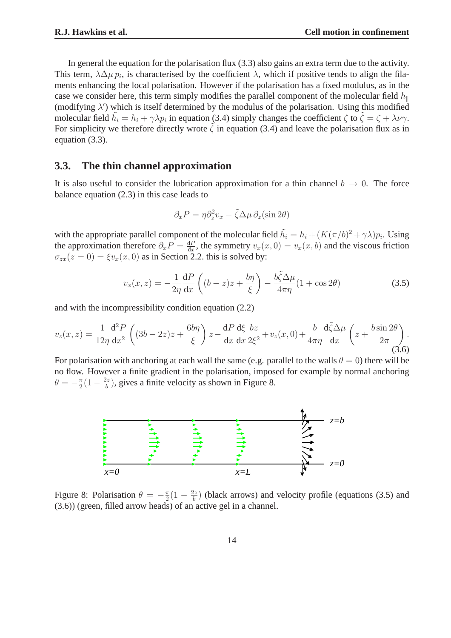In general the equation for the polarisation flux (3.3) also gains an extra term due to the activity. This term,  $\lambda \Delta \mu p_i$ , is characterised by the coefficient  $\lambda$ , which if positive tends to align the filaments enhancing the local polarisation. However if the polarisation has a fixed modulus, as in the case we consider here, this term simply modifies the parallel component of the molecular field  $h_{\parallel}$ (modifying  $\lambda'$ ) which is itself determined by the modulus of the polarisation. Using this modified molecular field  $\tilde{h}_i = h_i + \gamma \lambda p_i$  in equation (3.4) simply changes the coefficient  $\zeta$  to  $\tilde{\zeta} = \zeta + \lambda \nu \gamma$ . For simplicity we therefore directly wrote  $\tilde{\zeta}$  in equation (3.4) and leave the polarisation flux as in equation (3.3).

### **3.3. The thin channel approximation**

It is also useful to consider the lubrication approximation for a thin channel  $b \to 0$ . The force balance equation (2.3) in this case leads to

$$
\partial_x P = \eta \partial_z^2 v_x - \tilde{\zeta} \Delta \mu \, \partial_z (\sin 2\theta)
$$

with the appropriate parallel component of the molecular field  $\tilde{h_i} = h_i + (K(\pi/b)^2 + \gamma \lambda)p_i$ . Using the approximation therefore  $\partial_x P = \frac{dP}{dx}$  $\frac{dP}{dx}$ , the symmetry  $v_x(x, 0) = v_x(x, b)$  and the viscous friction  $\sigma_{zx}(z=0) = \xi v_x(x,0)$  as in Section 2.2. this is solved by:

$$
v_x(x,z) = -\frac{1}{2\eta} \frac{dP}{dx} \left( (b-z)z + \frac{b\eta}{\xi} \right) - \frac{b\tilde{\zeta}\Delta\mu}{4\pi\eta} (1 + \cos 2\theta)
$$
 (3.5)

and with the incompressibility condition equation (2.2)

$$
v_z(x,z) = \frac{1}{12\eta} \frac{\mathrm{d}^2 P}{\mathrm{d}x^2} \left( (3b - 2z)z + \frac{6b\eta}{\xi} \right) z - \frac{\mathrm{d}P}{\mathrm{d}x} \frac{\mathrm{d}\xi}{\mathrm{d}x} \frac{bz}{2\xi^2} + v_z(x,0) + \frac{b}{4\pi\eta} \frac{\mathrm{d}\tilde{\zeta}\Delta\mu}{\mathrm{d}x} \left( z + \frac{b\sin 2\theta}{2\pi} \right). \tag{3.6}
$$

For polarisation with anchoring at each wall the same (e.g. parallel to the walls  $\theta = 0$ ) there will be no flow. However a finite gradient in the polarisation, imposed for example by normal anchoring  $\theta = -\frac{\pi}{2}$  $\frac{\pi}{2}(1-\frac{2z}{b})$  $\frac{dz}{b}$ ), gives a finite velocity as shown in Figure 8.



Figure 8: Polarisation  $\theta = -\frac{\pi}{2}$  $\frac{\pi}{2}(1-\frac{2z}{b})$  $\frac{\partial z}{\partial b}$  (black arrows) and velocity profile (equations (3.5) and (3.6)) (green, filled arrow heads) of an active gel in a channel.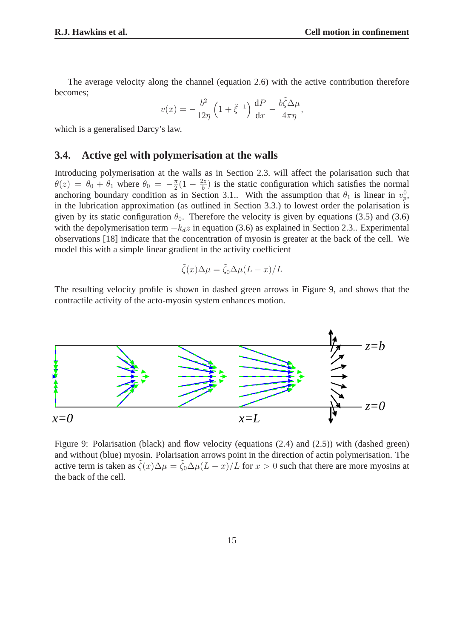The average velocity along the channel (equation 2.6) with the active contribution therefore becomes;

$$
v(x) = -\frac{b^2}{12\eta} \left( 1 + \tilde{\xi}^{-1} \right) \frac{\mathrm{d}P}{\mathrm{d}x} - \frac{b\tilde{\zeta}\Delta\mu}{4\pi\eta},
$$

which is a generalised Darcy's law.

### **3.4. Active gel with polymerisation at the walls**

Introducing polymerisation at the walls as in Section 2.3. will affect the polarisation such that  $\theta(z) = \theta_0 + \theta_1$  where  $\theta_0 = -\frac{\pi}{2}$  $\frac{\pi}{2}(1-\frac{2z}{b})$  $\frac{dz}{b}$ ) is the static configuration which satisfies the normal anchoring boundary condition as in Section 3.1.. With the assumption that  $\theta_1$  is linear in  $v_p^0$ , in the lubrication approximation (as outlined in Section 3.3.) to lowest order the polarisation is given by its static configuration  $\theta_0$ . Therefore the velocity is given by equations (3.5) and (3.6) with the depolymerisation term  $-k_d z$  in equation (3.6) as explained in Section 2.3.. Experimental observations [18] indicate that the concentration of myosin is greater at the back of the cell. We model this with a simple linear gradient in the activity coefficient

$$
\tilde{\zeta}(x)\Delta\mu = \tilde{\zeta}_0 \Delta\mu (L - x)/L
$$

The resulting velocity profile is shown in dashed green arrows in Figure 9, and shows that the contractile activity of the acto-myosin system enhances motion.



Figure 9: Polarisation (black) and flow velocity (equations (2.4) and (2.5)) with (dashed green) and without (blue) myosin. Polarisation arrows point in the direction of actin polymerisation. The active term is taken as  $\zeta(x)\Delta\mu = \zeta_0\Delta\mu(L-x)/L$  for  $x > 0$  such that there are more myosins at the back of the cell.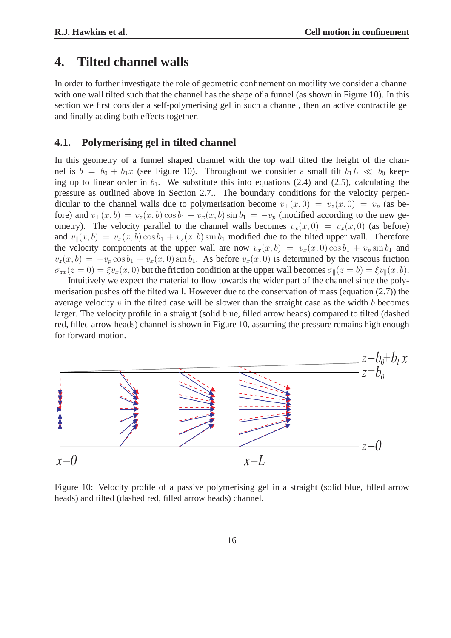### **4. Tilted channel walls**

In order to further investigate the role of geometric confinement on motility we consider a channel with one wall tilted such that the channel has the shape of a funnel (as shown in Figure 10). In this section we first consider a self-polymerising gel in such a channel, then an active contractile gel and finally adding both effects together.

### **4.1. Polymerising gel in tilted channel**

In this geometry of a funnel shaped channel with the top wall tilted the height of the channel is  $b = b_0 + b_1x$  (see Figure 10). Throughout we consider a small tilt  $b_1L \ll b_0$  keeping up to linear order in  $b_1$ . We substitute this into equations (2.4) and (2.5), calculating the pressure as outlined above in Section 2.7.. The boundary conditions for the velocity perpendicular to the channel walls due to polymerisation become  $v_{\perp}(x, 0) = v_z(x, 0) = v_p$  (as before) and  $v_{\perp}(x, b) = v_z(x, b) \cos b_1 - v_x(x, b) \sin b_1 = -v_p$  (modified according to the new geometry). The velocity parallel to the channel walls becomes  $v_x(x, 0) = v_x(x, 0)$  (as before) and  $v_{\parallel}(x, b) = v_x(x, b) \cos b_1 + v_z(x, b) \sin b_1$  modified due to the tilted upper wall. Therefore the velocity components at the upper wall are now  $v_x(x, b) = v_x(x, 0) \cos b_1 + v_p \sin b_1$  and  $v_z(x, b) = -v_p \cos b_1 + v_x(x, 0) \sin b_1$ . As before  $v_x(x, 0)$  is determined by the viscous friction  $\sigma_{zx}(z=0) = \xi v_x(x,0)$  but the friction condition at the upper wall becomes  $\sigma_{\parallel}(z=b) = \xi v_{\parallel}(x,b)$ .

Intuitively we expect the material to flow towards the wider part of the channel since the polymerisation pushes off the tilted wall. However due to the conservation of mass (equation (2.7)) the average velocity  $v$  in the tilted case will be slower than the straight case as the width  $b$  becomes larger. The velocity profile in a straight (solid blue, filled arrow heads) compared to tilted (dashed red, filled arrow heads) channel is shown in Figure 10, assuming the pressure remains high enough for forward motion.



Figure 10: Velocity profile of a passive polymerising gel in a straight (solid blue, filled arrow heads) and tilted (dashed red, filled arrow heads) channel.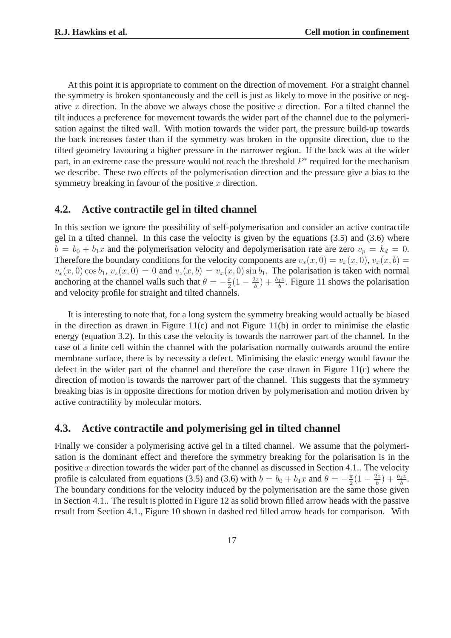At this point it is appropriate to comment on the direction of movement. For a straight channel the symmetry is broken spontaneously and the cell is just as likely to move in the positive or negative x direction. In the above we always chose the positive x direction. For a tilted channel the tilt induces a preference for movement towards the wider part of the channel due to the polymerisation against the tilted wall. With motion towards the wider part, the pressure build-up towards the back increases faster than if the symmetry was broken in the opposite direction, due to the tilted geometry favouring a higher pressure in the narrower region. If the back was at the wider part, in an extreme case the pressure would not reach the threshold  $P^*$  required for the mechanism we describe. These two effects of the polymerisation direction and the pressure give a bias to the symmetry breaking in favour of the positive  $x$  direction.

### **4.2. Active contractile gel in tilted channel**

In this section we ignore the possibility of self-polymerisation and consider an active contractile gel in a tilted channel. In this case the velocity is given by the equations (3.5) and (3.6) where  $b = b_0 + b_1x$  and the polymerisation velocity and depolymerisation rate are zero  $v_p = k_d = 0$ . Therefore the boundary conditions for the velocity components are  $v_x(x, 0) = v_x(x, 0)$ ,  $v_x(x, b) =$  $v_x(x, 0) \cos b_1$ ,  $v_z(x, 0) = 0$  and  $v_z(x, b) = v_x(x, 0) \sin b_1$ . The polarisation is taken with normal anchoring at the channel walls such that  $\theta = -\frac{\pi}{2}$  $\frac{\pi}{2}(1-\frac{2z}{b})$  $\frac{\partial^2 z}{\partial b^2}$  +  $\frac{b_1 z}{b}$ . Figure 11 shows the polarisation and velocity profile for straight and tilted channels.

It is interesting to note that, for a long system the symmetry breaking would actually be biased in the direction as drawn in Figure  $11(c)$  and not Figure  $11(b)$  in order to minimise the elastic energy (equation 3.2). In this case the velocity is towards the narrower part of the channel. In the case of a finite cell within the channel with the polarisation normally outwards around the entire membrane surface, there is by necessity a defect. Minimising the elastic energy would favour the defect in the wider part of the channel and therefore the case drawn in Figure 11(c) where the direction of motion is towards the narrower part of the channel. This suggests that the symmetry breaking bias is in opposite directions for motion driven by polymerisation and motion driven by active contractility by molecular motors.

### **4.3. Active contractile and polymerising gel in tilted channel**

Finally we consider a polymerising active gel in a tilted channel. We assume that the polymerisation is the dominant effect and therefore the symmetry breaking for the polarisation is in the positive x direction towards the wider part of the channel as discussed in Section 4.1.. The velocity profile is calculated from equations (3.5) and (3.6) with  $b = b_0 + b_1x$  and  $\theta = -\frac{\pi}{2}$  $\frac{\pi}{2}(1-\frac{2z}{b})$  $\frac{b_2}{b}$  +  $\frac{b_1z}{b}$ . The boundary conditions for the velocity induced by the polymerisation are the same those given in Section 4.1.. The result is plotted in Figure 12 as solid brown filled arrow heads with the passive result from Section 4.1., Figure 10 shown in dashed red filled arrow heads for comparison. With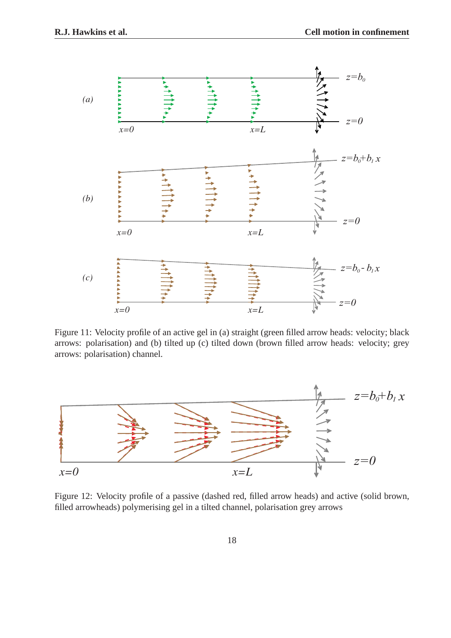

Figure 11: Velocity profile of an active gel in (a) straight (green filled arrow heads: velocity; black arrows: polarisation) and (b) tilted up (c) tilted down (brown filled arrow heads: velocity; grey arrows: polarisation) channel.



Figure 12: Velocity profile of a passive (dashed red, filled arrow heads) and active (solid brown, filled arrowheads) polymerising gel in a tilted channel, polarisation grey arrows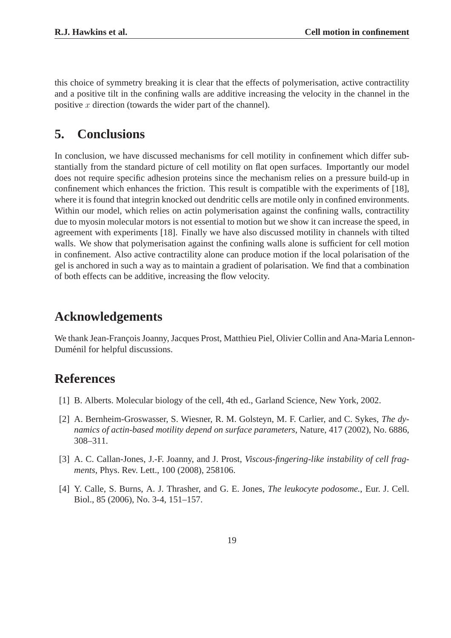this choice of symmetry breaking it is clear that the effects of polymerisation, active contractility and a positive tilt in the confining walls are additive increasing the velocity in the channel in the positive  $x$  direction (towards the wider part of the channel).

# **5. Conclusions**

In conclusion, we have discussed mechanisms for cell motility in confinement which differ substantially from the standard picture of cell motility on flat open surfaces. Importantly our model does not require specific adhesion proteins since the mechanism relies on a pressure build-up in confinement which enhances the friction. This result is compatible with the experiments of [18], where it is found that integrin knocked out dendritic cells are motile only in confined environments. Within our model, which relies on actin polymerisation against the confining walls, contractility due to myosin molecular motors is not essential to motion but we show it can increase the speed, in agreement with experiments [18]. Finally we have also discussed motility in channels with tilted walls. We show that polymerisation against the confining walls alone is sufficient for cell motion in confinement. Also active contractility alone can produce motion if the local polarisation of the gel is anchored in such a way as to maintain a gradient of polarisation. We find that a combination of both effects can be additive, increasing the flow velocity.

# **Acknowledgements**

We thank Jean-François Joanny, Jacques Prost, Matthieu Piel, Olivier Collin and Ana-Maria Lennon-Duménil for helpful discussions.

## **References**

- [1] B. Alberts. Molecular biology of the cell, 4th ed., Garland Science, New York, 2002.
- [2] A. Bernheim-Groswasser, S. Wiesner, R. M. Golsteyn, M. F. Carlier, and C. Sykes, *The dynamics of actin-based motility depend on surface parameters*, Nature, 417 (2002), No. 6886, 308–311.
- [3] A. C. Callan-Jones, J.-F. Joanny, and J. Prost, *Viscous-fingering-like instability of cell fragments*, Phys. Rev. Lett., 100 (2008), 258106.
- [4] Y. Calle, S. Burns, A. J. Thrasher, and G. E. Jones, *The leukocyte podosome.*, Eur. J. Cell. Biol., 85 (2006), No. 3-4, 151–157.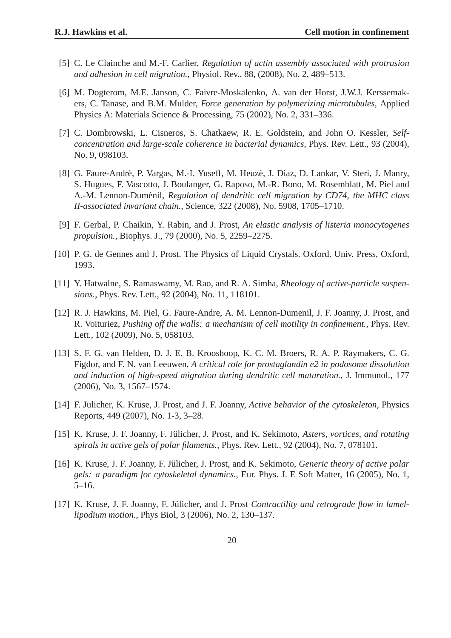- [5] C. Le Clainche and M.-F. Carlier, *Regulation of actin assembly associated with protrusion and adhesion in cell migration.*, Physiol. Rev., 88, (2008), No. 2, 489–513.
- [6] M. Dogterom, M.E. Janson, C. Faivre-Moskalenko, A. van der Horst, J.W.J. Kerssemakers, C. Tanase, and B.M. Mulder, *Force generation by polymerizing microtubules*, Applied Physics A: Materials Science & Processing, 75 (2002), No. 2, 331–336.
- [7] C. Dombrowski, L. Cisneros, S. Chatkaew, R. E. Goldstein, and John O. Kessler, *Selfconcentration and large-scale coherence in bacterial dynamics*, Phys. Rev. Lett., 93 (2004), No. 9, 098103.
- [8] G. Faure-André, P. Vargas, M.-I. Yuseff, M. Heuzé, J. Diaz, D. Lankar, V. Steri, J. Manry, S. Hugues, F. Vascotto, J. Boulanger, G. Raposo, M.-R. Bono, M. Rosemblatt, M. Piel and A.-M. Lennon-Duménil, *Regulation of dendritic cell migration by CD74, the MHC class II-associated invariant chain.*, Science, 322 (2008), No. 5908, 1705–1710.
- [9] F. Gerbal, P. Chaikin, Y. Rabin, and J. Prost, *An elastic analysis of listeria monocytogenes propulsion.*, Biophys. J., 79 (2000), No. 5, 2259–2275.
- [10] P. G. de Gennes and J. Prost. The Physics of Liquid Crystals. Oxford. Univ. Press, Oxford, 1993.
- [11] Y. Hatwalne, S. Ramaswamy, M. Rao, and R. A. Simha, *Rheology of active-particle suspensions.*, Phys. Rev. Lett., 92 (2004), No. 11, 118101.
- [12] R. J. Hawkins, M. Piel, G. Faure-Andre, A. M. Lennon-Dumenil, J. F. Joanny, J. Prost, and R. Voituriez, *Pushing off the walls: a mechanism of cell motility in confinement.*, Phys. Rev. Lett., 102 (2009), No. 5, 058103.
- [13] S. F. G. van Helden, D. J. E. B. Krooshoop, K. C. M. Broers, R. A. P. Raymakers, C. G. Figdor, and F. N. van Leeuwen, *A critical role for prostaglandin e2 in podosome dissolution and induction of high-speed migration during dendritic cell maturation.*, J. Immunol., 177 (2006), No. 3, 1567–1574.
- [14] F. Julicher, K. Kruse, J. Prost, and J. F. Joanny, *Active behavior of the cytoskeleton*, Physics Reports, 449 (2007), No. 1-3, 3–28.
- [15] K. Kruse, J. F. Joanny, F. Jülicher, J. Prost, and K. Sekimoto, Asters, vortices, and rotating *spirals in active gels of polar filaments.*, Phys. Rev. Lett., 92 (2004), No. 7, 078101.
- [16] K. Kruse, J. F. Joanny, F. Jülicher, J. Prost, and K. Sekimoto, *Generic theory of active polar gels: a paradigm for cytoskeletal dynamics.*, Eur. Phys. J. E Soft Matter, 16 (2005), No. 1, 5–16.
- [17] K. Kruse, J. F. Joanny, F. Jülicher, and J. Prost *Contractility and retrograde flow in lamellipodium motion.*, Phys Biol, 3 (2006), No. 2, 130–137.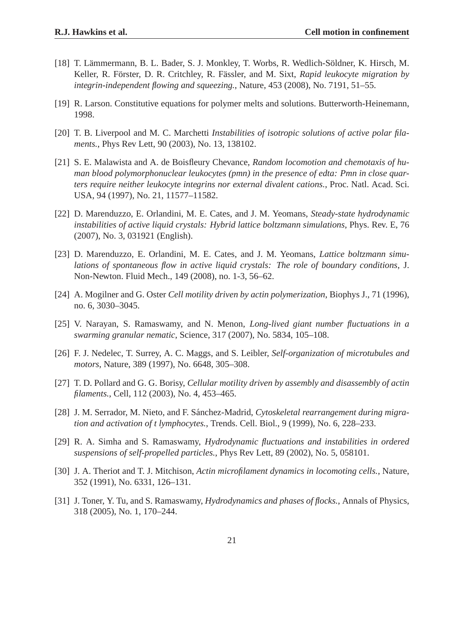- [18] T. Lämmermann, B. L. Bader, S. J. Monkley, T. Worbs, R. Wedlich-Söldner, K. Hirsch, M. Keller, R. Förster, D. R. Critchley, R. Fässler, and M. Sixt, *Rapid leukocyte migration by integrin-independent flowing and squeezing.*, Nature, 453 (2008), No. 7191, 51–55.
- [19] R. Larson. Constitutive equations for polymer melts and solutions. Butterworth-Heinemann, 1998.
- [20] T. B. Liverpool and M. C. Marchetti *Instabilities of isotropic solutions of active polar filaments.*, Phys Rev Lett, 90 (2003), No. 13, 138102.
- [21] S. E. Malawista and A. de Boisfleury Chevance, *Random locomotion and chemotaxis of human blood polymorphonuclear leukocytes (pmn) in the presence of edta: Pmn in close quarters require neither leukocyte integrins nor external divalent cations.*, Proc. Natl. Acad. Sci. USA, 94 (1997), No. 21, 11577–11582.
- [22] D. Marenduzzo, E. Orlandini, M. E. Cates, and J. M. Yeomans, *Steady-state hydrodynamic instabilities of active liquid crystals: Hybrid lattice boltzmann simulations*, Phys. Rev. E, 76 (2007), No. 3, 031921 (English).
- [23] D. Marenduzzo, E. Orlandini, M. E. Cates, and J. M. Yeomans, *Lattice boltzmann simulations of spontaneous flow in active liquid crystals: The role of boundary conditions*, J. Non-Newton. Fluid Mech., 149 (2008), no. 1-3, 56–62.
- [24] A. Mogilner and G. Oster *Cell motility driven by actin polymerization*, Biophys J., 71 (1996), no. 6, 3030–3045.
- [25] V. Narayan, S. Ramaswamy, and N. Menon, *Long-lived giant number fluctuations in a swarming granular nematic*, Science, 317 (2007), No. 5834, 105–108.
- [26] F. J. Nedelec, T. Surrey, A. C. Maggs, and S. Leibler, *Self-organization of microtubules and motors*, Nature, 389 (1997), No. 6648, 305–308.
- [27] T. D. Pollard and G. G. Borisy, *Cellular motility driven by assembly and disassembly of actin filaments.*, Cell, 112 (2003), No. 4, 453–465.
- [28] J. M. Serrador, M. Nieto, and F. Sánchez-Madrid, *Cytoskeletal rearrangement during migration and activation of t lymphocytes.*, Trends. Cell. Biol., 9 (1999), No. 6, 228–233.
- [29] R. A. Simha and S. Ramaswamy, *Hydrodynamic fluctuations and instabilities in ordered suspensions of self-propelled particles.*, Phys Rev Lett, 89 (2002), No. 5, 058101.
- [30] J. A. Theriot and T. J. Mitchison, *Actin microfilament dynamics in locomoting cells.*, Nature, 352 (1991), No. 6331, 126–131.
- [31] J. Toner, Y. Tu, and S. Ramaswamy, *Hydrodynamics and phases of flocks.*, Annals of Physics, 318 (2005), No. 1, 170–244.